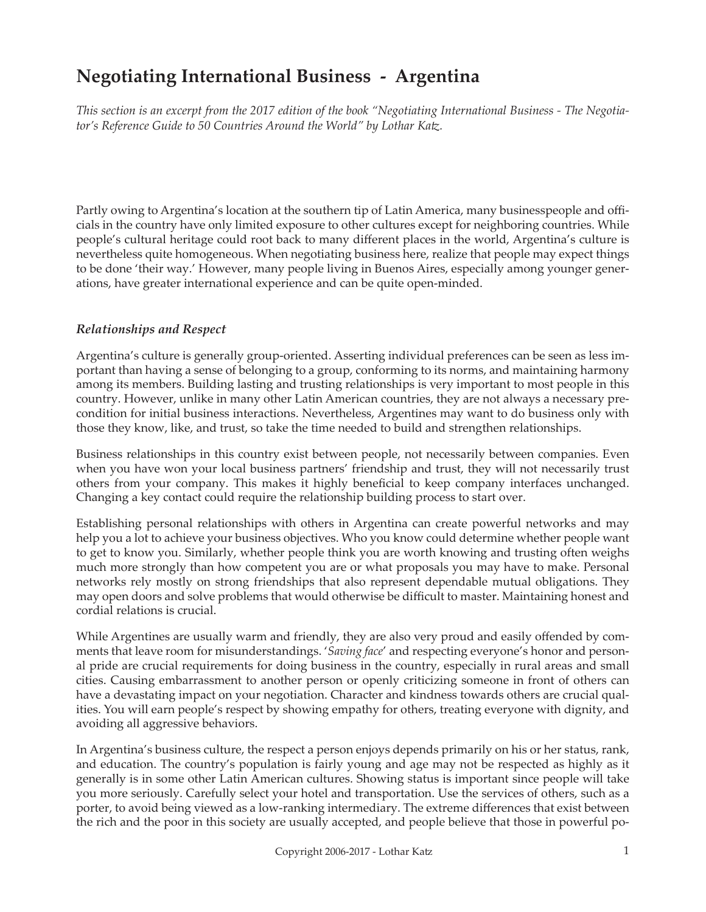# **Negotiating International Business - Argentina**

*This section is an excerpt from the 2017 edition of the book "Negotiating International Business - The Negotiator's Reference Guide to 50 Countries Around the World" by Lothar Katz.*

Partly owing to Argentina's location at the southern tip of Latin America, many businesspeople and officials in the country have only limited exposure to other cultures except for neighboring countries. While people's cultural heritage could root back to many different places in the world, Argentina's culture is nevertheless quite homogeneous. When negotiating business here, realize that people may expect things to be done 'their way.' However, many people living in Buenos Aires, especially among younger generations, have greater international experience and can be quite open-minded.

#### *Relationships and Respect*

Argentina's culture is generally group-oriented. Asserting individual preferences can be seen as less important than having a sense of belonging to a group, conforming to its norms, and maintaining harmony among its members. Building lasting and trusting relationships is very important to most people in this country. However, unlike in many other Latin American countries, they are not always a necessary precondition for initial business interactions. Nevertheless, Argentines may want to do business only with those they know, like, and trust, so take the time needed to build and strengthen relationships.

Business relationships in this country exist between people, not necessarily between companies. Even when you have won your local business partners' friendship and trust, they will not necessarily trust others from your company. This makes it highly beneficial to keep company interfaces unchanged. Changing a key contact could require the relationship building process to start over.

Establishing personal relationships with others in Argentina can create powerful networks and may help you a lot to achieve your business objectives. Who you know could determine whether people want to get to know you. Similarly, whether people think you are worth knowing and trusting often weighs much more strongly than how competent you are or what proposals you may have to make. Personal networks rely mostly on strong friendships that also represent dependable mutual obligations. They may open doors and solve problems that would otherwise be difficult to master. Maintaining honest and cordial relations is crucial.

While Argentines are usually warm and friendly, they are also very proud and easily offended by comments that leave room for misunderstandings. '*Saving face*' and respecting everyone's honor and personal pride are crucial requirements for doing business in the country, especially in rural areas and small cities. Causing embarrassment to another person or openly criticizing someone in front of others can have a devastating impact on your negotiation. Character and kindness towards others are crucial qualities. You will earn people's respect by showing empathy for others, treating everyone with dignity, and avoiding all aggressive behaviors.

In Argentina's business culture, the respect a person enjoys depends primarily on his or her status, rank, and education. The country's population is fairly young and age may not be respected as highly as it generally is in some other Latin American cultures. Showing status is important since people will take you more seriously. Carefully select your hotel and transportation. Use the services of others, such as a porter, to avoid being viewed as a low-ranking intermediary. The extreme differences that exist between the rich and the poor in this society are usually accepted, and people believe that those in powerful po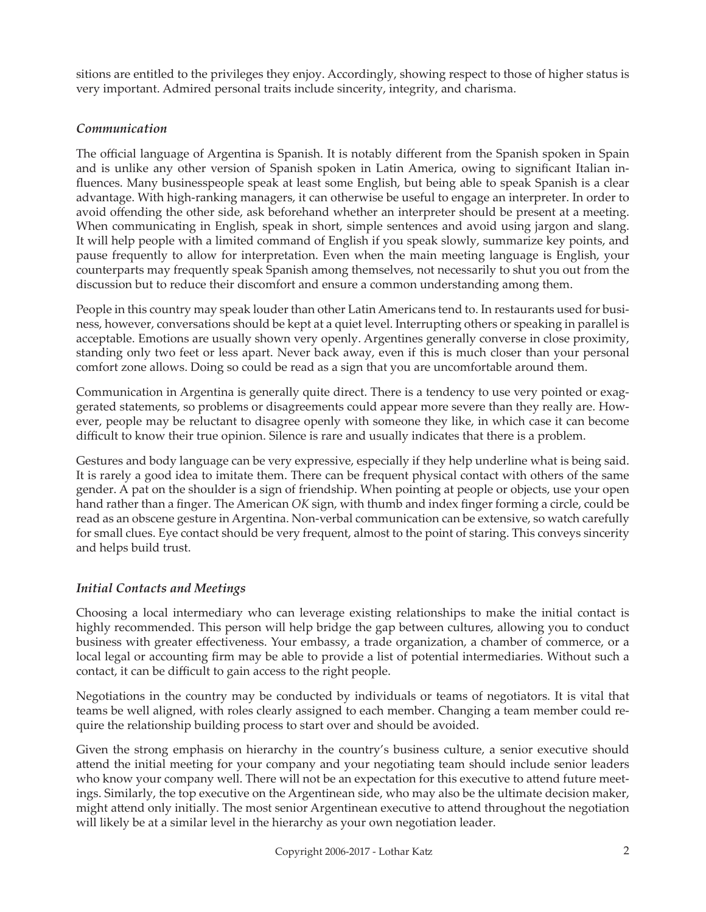sitions are entitled to the privileges they enjoy. Accordingly, showing respect to those of higher status is very important. Admired personal traits include sincerity, integrity, and charisma.

### *Communication*

The official language of Argentina is Spanish. It is notably different from the Spanish spoken in Spain and is unlike any other version of Spanish spoken in Latin America, owing to significant Italian influences. Many businesspeople speak at least some English, but being able to speak Spanish is a clear advantage. With high-ranking managers, it can otherwise be useful to engage an interpreter. In order to avoid offending the other side, ask beforehand whether an interpreter should be present at a meeting. When communicating in English, speak in short, simple sentences and avoid using jargon and slang. It will help people with a limited command of English if you speak slowly, summarize key points, and pause frequently to allow for interpretation. Even when the main meeting language is English, your counterparts may frequently speak Spanish among themselves, not necessarily to shut you out from the discussion but to reduce their discomfort and ensure a common understanding among them.

People in this country may speak louder than other Latin Americans tend to. In restaurants used for business, however, conversations should be kept at a quiet level. Interrupting others or speaking in parallel is acceptable. Emotions are usually shown very openly. Argentines generally converse in close proximity, standing only two feet or less apart. Never back away, even if this is much closer than your personal comfort zone allows. Doing so could be read as a sign that you are uncomfortable around them.

Communication in Argentina is generally quite direct. There is a tendency to use very pointed or exaggerated statements, so problems or disagreements could appear more severe than they really are. However, people may be reluctant to disagree openly with someone they like, in which case it can become difficult to know their true opinion. Silence is rare and usually indicates that there is a problem.

Gestures and body language can be very expressive, especially if they help underline what is being said. It is rarely a good idea to imitate them. There can be frequent physical contact with others of the same gender. A pat on the shoulder is a sign of friendship. When pointing at people or objects, use your open hand rather than a finger. The American *OK* sign, with thumb and index finger forming a circle, could be read as an obscene gesture in Argentina. Non-verbal communication can be extensive, so watch carefully for small clues. Eye contact should be very frequent, almost to the point of staring. This conveys sincerity and helps build trust.

## *Initial Contacts and Meetings*

Choosing a local intermediary who can leverage existing relationships to make the initial contact is highly recommended. This person will help bridge the gap between cultures, allowing you to conduct business with greater effectiveness. Your embassy, a trade organization, a chamber of commerce, or a local legal or accounting firm may be able to provide a list of potential intermediaries. Without such a contact, it can be difficult to gain access to the right people.

Negotiations in the country may be conducted by individuals or teams of negotiators. It is vital that teams be well aligned, with roles clearly assigned to each member. Changing a team member could require the relationship building process to start over and should be avoided.

Given the strong emphasis on hierarchy in the country's business culture, a senior executive should attend the initial meeting for your company and your negotiating team should include senior leaders who know your company well. There will not be an expectation for this executive to attend future meetings. Similarly, the top executive on the Argentinean side, who may also be the ultimate decision maker, might attend only initially. The most senior Argentinean executive to attend throughout the negotiation will likely be at a similar level in the hierarchy as your own negotiation leader.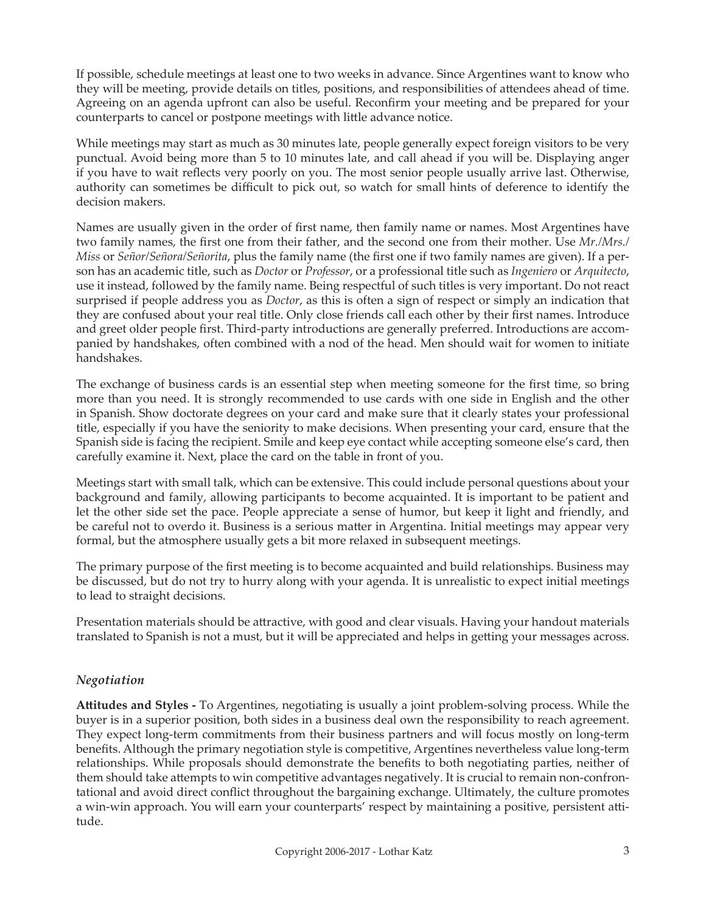If possible, schedule meetings at least one to two weeks in advance. Since Argentines want to know who they will be meeting, provide details on titles, positions, and responsibilities of attendees ahead of time. Agreeing on an agenda upfront can also be useful. Reconfirm your meeting and be prepared for your counterparts to cancel or postpone meetings with little advance notice.

While meetings may start as much as 30 minutes late, people generally expect foreign visitors to be very punctual. Avoid being more than 5 to 10 minutes late, and call ahead if you will be. Displaying anger if you have to wait reflects very poorly on you. The most senior people usually arrive last. Otherwise, authority can sometimes be difficult to pick out, so watch for small hints of deference to identify the decision makers.

Names are usually given in the order of first name, then family name or names. Most Argentines have two family names, the first one from their father, and the second one from their mother. Use *Mr./Mrs./ Miss* or *Señor/Señora/Señorita*, plus the family name (the first one if two family names are given). If a person has an academic title, such as *Doctor* or *Professor*, or a professional title such as *Ingeniero* or *Arquitecto*, use it instead, followed by the family name. Being respectful of such titles is very important. Do not react surprised if people address you as *Doctor*, as this is often a sign of respect or simply an indication that they are confused about your real title. Only close friends call each other by their first names. Introduce and greet older people first. Third-party introductions are generally preferred. Introductions are accompanied by handshakes, often combined with a nod of the head. Men should wait for women to initiate handshakes.

The exchange of business cards is an essential step when meeting someone for the first time, so bring more than you need. It is strongly recommended to use cards with one side in English and the other in Spanish. Show doctorate degrees on your card and make sure that it clearly states your professional title, especially if you have the seniority to make decisions. When presenting your card, ensure that the Spanish side is facing the recipient. Smile and keep eye contact while accepting someone else's card, then carefully examine it. Next, place the card on the table in front of you.

Meetings start with small talk, which can be extensive. This could include personal questions about your background and family, allowing participants to become acquainted. It is important to be patient and let the other side set the pace. People appreciate a sense of humor, but keep it light and friendly, and be careful not to overdo it. Business is a serious matter in Argentina. Initial meetings may appear very formal, but the atmosphere usually gets a bit more relaxed in subsequent meetings.

The primary purpose of the first meeting is to become acquainted and build relationships. Business may be discussed, but do not try to hurry along with your agenda. It is unrealistic to expect initial meetings to lead to straight decisions.

Presentation materials should be attractive, with good and clear visuals. Having your handout materials translated to Spanish is not a must, but it will be appreciated and helps in getting your messages across.

#### *Negotiation*

**Attitudes and Styles -** To Argentines, negotiating is usually a joint problem-solving process. While the buyer is in a superior position, both sides in a business deal own the responsibility to reach agreement. They expect long-term commitments from their business partners and will focus mostly on long-term benefits. Although the primary negotiation style is competitive, Argentines nevertheless value long-term relationships. While proposals should demonstrate the benefits to both negotiating parties, neither of them should take attempts to win competitive advantages negatively. It is crucial to remain non-confrontational and avoid direct conflict throughout the bargaining exchange. Ultimately, the culture promotes a win-win approach. You will earn your counterparts' respect by maintaining a positive, persistent attitude.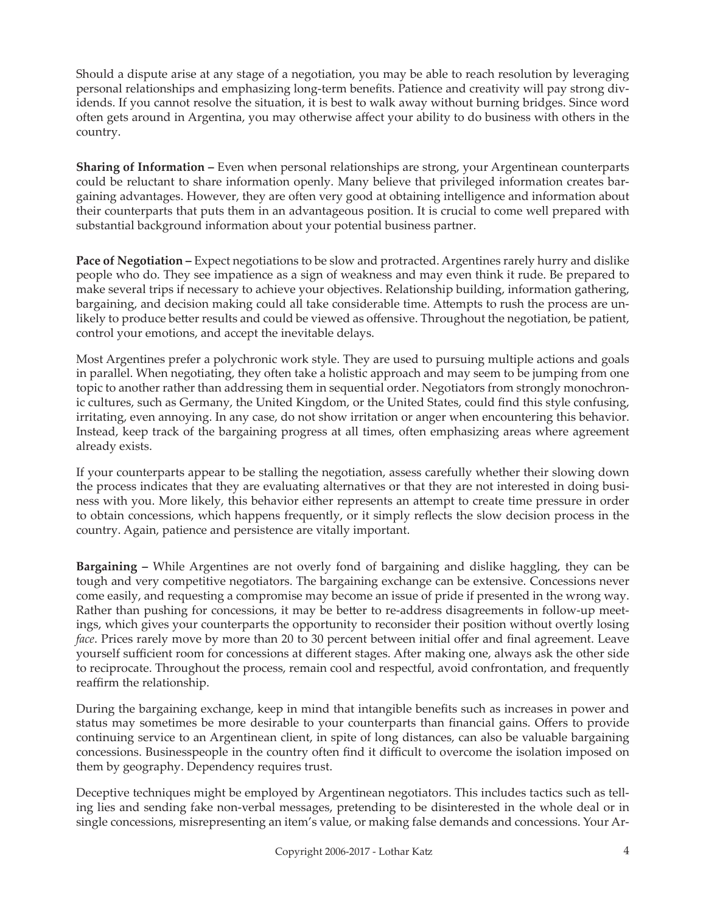Should a dispute arise at any stage of a negotiation, you may be able to reach resolution by leveraging personal relationships and emphasizing long-term benefits. Patience and creativity will pay strong dividends. If you cannot resolve the situation, it is best to walk away without burning bridges. Since word often gets around in Argentina, you may otherwise affect your ability to do business with others in the country.

**Sharing of Information –** Even when personal relationships are strong, your Argentinean counterparts could be reluctant to share information openly. Many believe that privileged information creates bargaining advantages. However, they are often very good at obtaining intelligence and information about their counterparts that puts them in an advantageous position. It is crucial to come well prepared with substantial background information about your potential business partner.

**Pace of Negotiation –** Expect negotiations to be slow and protracted. Argentines rarely hurry and dislike people who do. They see impatience as a sign of weakness and may even think it rude. Be prepared to make several trips if necessary to achieve your objectives. Relationship building, information gathering, bargaining, and decision making could all take considerable time. Attempts to rush the process are unlikely to produce better results and could be viewed as offensive. Throughout the negotiation, be patient, control your emotions, and accept the inevitable delays.

Most Argentines prefer a polychronic work style. They are used to pursuing multiple actions and goals in parallel. When negotiating, they often take a holistic approach and may seem to be jumping from one topic to another rather than addressing them in sequential order. Negotiators from strongly monochronic cultures, such as Germany, the United Kingdom, or the United States, could find this style confusing, irritating, even annoying. In any case, do not show irritation or anger when encountering this behavior. Instead, keep track of the bargaining progress at all times, often emphasizing areas where agreement already exists.

If your counterparts appear to be stalling the negotiation, assess carefully whether their slowing down the process indicates that they are evaluating alternatives or that they are not interested in doing business with you. More likely, this behavior either represents an attempt to create time pressure in order to obtain concessions, which happens frequently, or it simply reflects the slow decision process in the country. Again, patience and persistence are vitally important.

**Bargaining –** While Argentines are not overly fond of bargaining and dislike haggling, they can be tough and very competitive negotiators. The bargaining exchange can be extensive. Concessions never come easily, and requesting a compromise may become an issue of pride if presented in the wrong way. Rather than pushing for concessions, it may be better to re-address disagreements in follow-up meetings, which gives your counterparts the opportunity to reconsider their position without overtly losing *face*. Prices rarely move by more than 20 to 30 percent between initial offer and final agreement. Leave yourself sufficient room for concessions at different stages. After making one, always ask the other side to reciprocate. Throughout the process, remain cool and respectful, avoid confrontation, and frequently reaffirm the relationship.

During the bargaining exchange, keep in mind that intangible benefits such as increases in power and status may sometimes be more desirable to your counterparts than financial gains. Offers to provide continuing service to an Argentinean client, in spite of long distances, can also be valuable bargaining concessions. Businesspeople in the country often find it difficult to overcome the isolation imposed on them by geography. Dependency requires trust.

Deceptive techniques might be employed by Argentinean negotiators. This includes tactics such as telling lies and sending fake non-verbal messages, pretending to be disinterested in the whole deal or in single concessions, misrepresenting an item's value, or making false demands and concessions. Your Ar-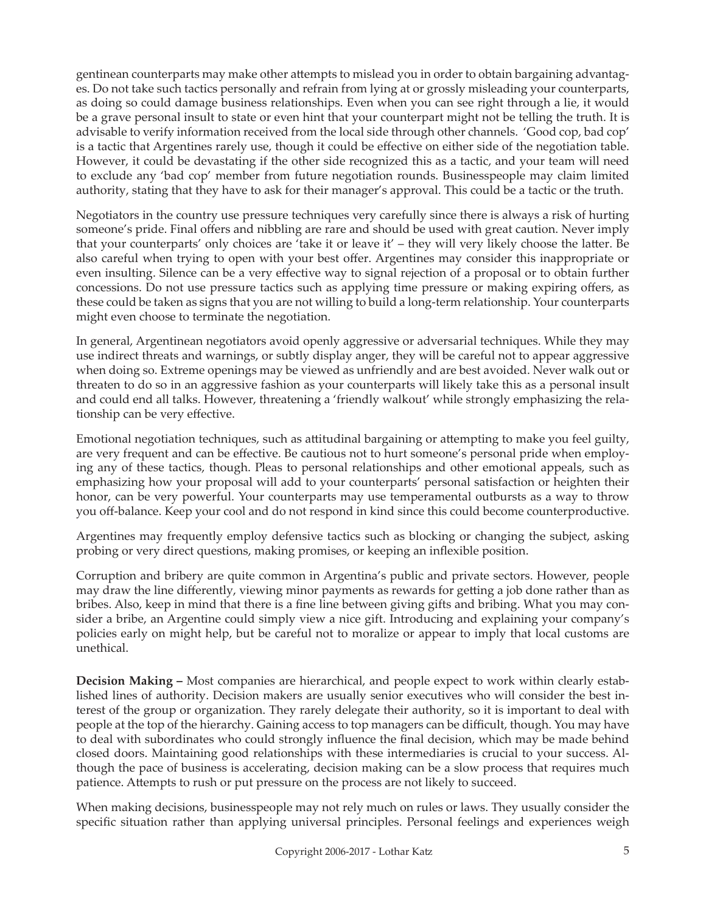gentinean counterparts may make other attempts to mislead you in order to obtain bargaining advantages. Do not take such tactics personally and refrain from lying at or grossly misleading your counterparts, as doing so could damage business relationships. Even when you can see right through a lie, it would be a grave personal insult to state or even hint that your counterpart might not be telling the truth. It is advisable to verify information received from the local side through other channels. 'Good cop, bad cop' is a tactic that Argentines rarely use, though it could be effective on either side of the negotiation table. However, it could be devastating if the other side recognized this as a tactic, and your team will need to exclude any 'bad cop' member from future negotiation rounds. Businesspeople may claim limited authority, stating that they have to ask for their manager's approval. This could be a tactic or the truth.

Negotiators in the country use pressure techniques very carefully since there is always a risk of hurting someone's pride. Final offers and nibbling are rare and should be used with great caution. Never imply that your counterparts' only choices are 'take it or leave it' – they will very likely choose the latter. Be also careful when trying to open with your best offer. Argentines may consider this inappropriate or even insulting. Silence can be a very effective way to signal rejection of a proposal or to obtain further concessions. Do not use pressure tactics such as applying time pressure or making expiring offers, as these could be taken as signs that you are not willing to build a long-term relationship. Your counterparts might even choose to terminate the negotiation.

In general, Argentinean negotiators avoid openly aggressive or adversarial techniques. While they may use indirect threats and warnings, or subtly display anger, they will be careful not to appear aggressive when doing so. Extreme openings may be viewed as unfriendly and are best avoided. Never walk out or threaten to do so in an aggressive fashion as your counterparts will likely take this as a personal insult and could end all talks. However, threatening a 'friendly walkout' while strongly emphasizing the relationship can be very effective.

Emotional negotiation techniques, such as attitudinal bargaining or attempting to make you feel guilty, are very frequent and can be effective. Be cautious not to hurt someone's personal pride when employing any of these tactics, though. Pleas to personal relationships and other emotional appeals, such as emphasizing how your proposal will add to your counterparts' personal satisfaction or heighten their honor, can be very powerful. Your counterparts may use temperamental outbursts as a way to throw you off-balance. Keep your cool and do not respond in kind since this could become counterproductive.

Argentines may frequently employ defensive tactics such as blocking or changing the subject, asking probing or very direct questions, making promises, or keeping an inflexible position.

Corruption and bribery are quite common in Argentina's public and private sectors. However, people may draw the line differently, viewing minor payments as rewards for getting a job done rather than as bribes. Also, keep in mind that there is a fine line between giving gifts and bribing. What you may consider a bribe, an Argentine could simply view a nice gift. Introducing and explaining your company's policies early on might help, but be careful not to moralize or appear to imply that local customs are unethical.

**Decision Making –** Most companies are hierarchical, and people expect to work within clearly established lines of authority. Decision makers are usually senior executives who will consider the best interest of the group or organization. They rarely delegate their authority, so it is important to deal with people at the top of the hierarchy. Gaining access to top managers can be difficult, though. You may have to deal with subordinates who could strongly influence the final decision, which may be made behind closed doors. Maintaining good relationships with these intermediaries is crucial to your success. Although the pace of business is accelerating, decision making can be a slow process that requires much patience. Attempts to rush or put pressure on the process are not likely to succeed.

When making decisions, businesspeople may not rely much on rules or laws. They usually consider the specific situation rather than applying universal principles. Personal feelings and experiences weigh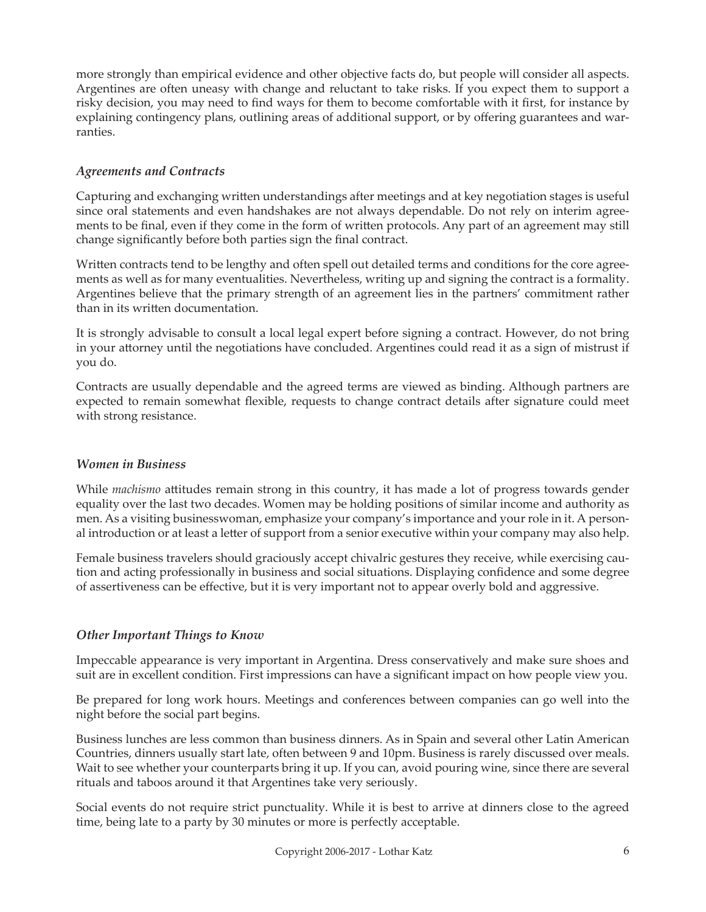more strongly than empirical evidence and other objective facts do, but people will consider all aspects. Argentines are often uneasy with change and reluctant to take risks. If you expect them to support a risky decision, you may need to find ways for them to become comfortable with it first, for instance by explaining contingency plans, outlining areas of additional support, or by offering guarantees and warranties.

## *Agreements and Contracts*

Capturing and exchanging written understandings after meetings and at key negotiation stages is useful since oral statements and even handshakes are not always dependable. Do not rely on interim agreements to be final, even if they come in the form of written protocols. Any part of an agreement may still change significantly before both parties sign the final contract.

Written contracts tend to be lengthy and often spell out detailed terms and conditions for the core agreements as well as for many eventualities. Nevertheless, writing up and signing the contract is a formality. Argentines believe that the primary strength of an agreement lies in the partners' commitment rather than in its written documentation.

It is strongly advisable to consult a local legal expert before signing a contract. However, do not bring in your attorney until the negotiations have concluded. Argentines could read it as a sign of mistrust if you do.

Contracts are usually dependable and the agreed terms are viewed as binding. Although partners are expected to remain somewhat flexible, requests to change contract details after signature could meet with strong resistance.

#### *Women in Business*

While *machismo* attitudes remain strong in this country, it has made a lot of progress towards gender equality over the last two decades. Women may be holding positions of similar income and authority as men. As a visiting businesswoman, emphasize your company's importance and your role in it. A personal introduction or at least a letter of support from a senior executive within your company may also help.

Female business travelers should graciously accept chivalric gestures they receive, while exercising caution and acting professionally in business and social situations. Displaying confidence and some degree of assertiveness can be effective, but it is very important not to appear overly bold and aggressive.

#### *Other Important Things to Know*

Impeccable appearance is very important in Argentina. Dress conservatively and make sure shoes and suit are in excellent condition. First impressions can have a significant impact on how people view you.

Be prepared for long work hours. Meetings and conferences between companies can go well into the night before the social part begins.

Business lunches are less common than business dinners. As in Spain and several other Latin American Countries, dinners usually start late, often between 9 and 10pm. Business is rarely discussed over meals. Wait to see whether your counterparts bring it up. If you can, avoid pouring wine, since there are several rituals and taboos around it that Argentines take very seriously.

Social events do not require strict punctuality. While it is best to arrive at dinners close to the agreed time, being late to a party by 30 minutes or more is perfectly acceptable.